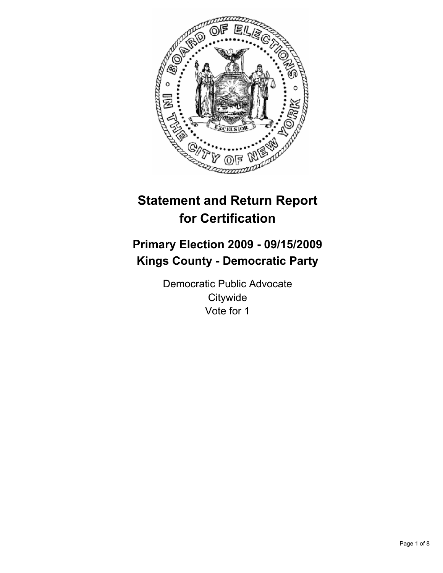

# **Statement and Return Report for Certification**

# **Primary Election 2009 - 09/15/2009 Kings County - Democratic Party**

Democratic Public Advocate **Citywide** Vote for 1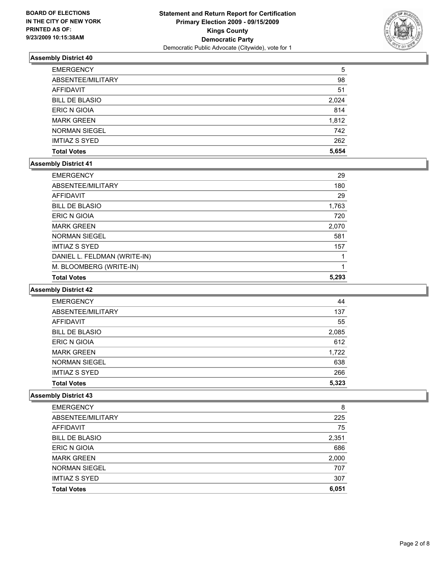

| <b>EMERGENCY</b>      | 5     |
|-----------------------|-------|
| ABSENTEE/MILITARY     | 98    |
| AFFIDAVIT             | 51    |
| <b>BILL DE BLASIO</b> | 2,024 |
| ERIC N GIOIA          | 814   |
| <b>MARK GREEN</b>     | 1,812 |
| <b>NORMAN SIEGEL</b>  | 742   |
| <b>IMTIAZ S SYED</b>  | 262   |
| <b>Total Votes</b>    | 5,654 |

#### **Assembly District 41**

| <b>Total Votes</b>           | 5.293 |
|------------------------------|-------|
| M. BLOOMBERG (WRITE-IN)      |       |
| DANIEL L. FELDMAN (WRITE-IN) |       |
| <b>IMTIAZ S SYED</b>         | 157   |
| <b>NORMAN SIEGEL</b>         | 581   |
| <b>MARK GREEN</b>            | 2,070 |
| ERIC N GIOIA                 | 720   |
| <b>BILL DE BLASIO</b>        | 1,763 |
| AFFIDAVIT                    | 29    |
| ABSENTEE/MILITARY            | 180   |
| <b>EMERGENCY</b>             | 29    |

#### **Assembly District 42**

| <b>EMERGENCY</b>      | 44    |
|-----------------------|-------|
| ABSENTEE/MILITARY     | 137   |
| <b>AFFIDAVIT</b>      | 55    |
| <b>BILL DE BLASIO</b> | 2,085 |
| <b>ERIC N GIOIA</b>   | 612   |
| <b>MARK GREEN</b>     | 1,722 |
| <b>NORMAN SIEGEL</b>  | 638   |
| <b>IMTIAZ S SYED</b>  | 266   |
| <b>Total Votes</b>    | 5.323 |

| <b>BILL DE BLASIO</b> | 2,351 |
|-----------------------|-------|
| <b>ERIC N GIOIA</b>   | 686   |
| <b>MARK GREEN</b>     | 2,000 |
| <b>NORMAN SIEGEL</b>  | 707   |
| <b>IMTIAZ S SYED</b>  | 307   |
| <b>Total Votes</b>    | 6,051 |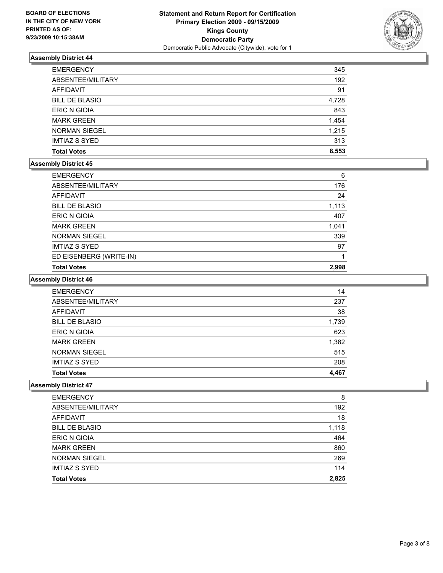

| <b>EMERGENCY</b>      | 345   |
|-----------------------|-------|
| ABSENTEE/MILITARY     | 192   |
| <b>AFFIDAVIT</b>      | 91    |
| <b>BILL DE BLASIO</b> | 4,728 |
| ERIC N GIOIA          | 843   |
| <b>MARK GREEN</b>     | 1,454 |
| <b>NORMAN SIEGEL</b>  | 1,215 |
| <b>IMTIAZ S SYED</b>  | 313   |
| <b>Total Votes</b>    | 8,553 |

#### **Assembly District 45**

| <b>EMERGENCY</b>        | 6     |
|-------------------------|-------|
| ABSENTEE/MILITARY       | 176   |
| <b>AFFIDAVIT</b>        | 24    |
| <b>BILL DE BLASIO</b>   | 1,113 |
| ERIC N GIOIA            | 407   |
| <b>MARK GREEN</b>       | 1,041 |
| <b>NORMAN SIEGEL</b>    | 339   |
| <b>IMTIAZ S SYED</b>    | 97    |
| ED EISENBERG (WRITE-IN) |       |
| <b>Total Votes</b>      | 2,998 |

# **Assembly District 46**

| <b>EMERGENCY</b>      | 14    |
|-----------------------|-------|
| ABSENTEE/MILITARY     | 237   |
| <b>AFFIDAVIT</b>      | 38    |
| <b>BILL DE BLASIO</b> | 1,739 |
| <b>ERIC N GIOIA</b>   | 623   |
| <b>MARK GREEN</b>     | 1,382 |
| <b>NORMAN SIEGEL</b>  | 515   |
| <b>IMTIAZ S SYED</b>  | 208   |
| <b>Total Votes</b>    | 4.467 |

| <b>EMERGENCY</b>      | 8     |
|-----------------------|-------|
| ABSENTEE/MILITARY     | 192   |
| AFFIDAVIT             | 18    |
| <b>BILL DE BLASIO</b> | 1,118 |
| ERIC N GIOIA          | 464   |
| <b>MARK GREEN</b>     | 860   |
| <b>NORMAN SIEGEL</b>  | 269   |
| <b>IMTIAZ S SYED</b>  | 114   |
| <b>Total Votes</b>    | 2.825 |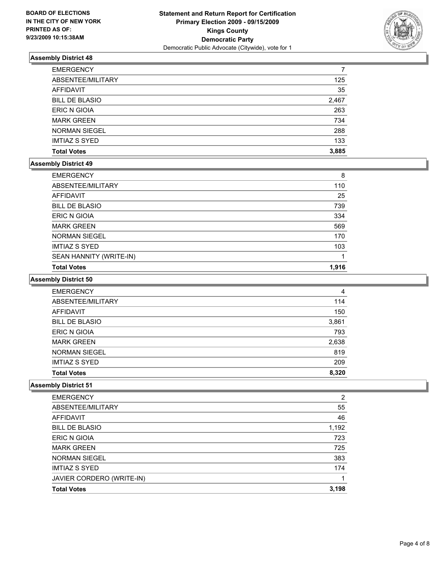

| <b>EMERGENCY</b>      |       |
|-----------------------|-------|
| ABSENTEE/MILITARY     | 125   |
| <b>AFFIDAVIT</b>      | 35    |
| <b>BILL DE BLASIO</b> | 2,467 |
| <b>ERIC N GIOIA</b>   | 263   |
| <b>MARK GREEN</b>     | 734   |
| <b>NORMAN SIEGEL</b>  | 288   |
| <b>IMTIAZ S SYED</b>  | 133   |
| <b>Total Votes</b>    | 3,885 |

#### **Assembly District 49**

| <b>EMERGENCY</b>        | 8     |
|-------------------------|-------|
| ABSENTEE/MILITARY       | 110   |
| AFFIDAVIT               | 25    |
| <b>BILL DE BLASIO</b>   | 739   |
| ERIC N GIOIA            | 334   |
| <b>MARK GREEN</b>       | 569   |
| <b>NORMAN SIEGEL</b>    | 170   |
| <b>IMTIAZ S SYED</b>    | 103   |
| SEAN HANNITY (WRITE-IN) |       |
| <b>Total Votes</b>      | 1,916 |

# **Assembly District 50**

| <b>EMERGENCY</b>      | 4     |
|-----------------------|-------|
| ABSENTEE/MILITARY     | 114   |
| <b>AFFIDAVIT</b>      | 150   |
| <b>BILL DE BLASIO</b> | 3,861 |
| <b>ERIC N GIOIA</b>   | 793   |
| <b>MARK GREEN</b>     | 2,638 |
| <b>NORMAN SIEGEL</b>  | 819   |
| <b>IMTIAZ S SYED</b>  | 209   |
| <b>Total Votes</b>    | 8.320 |

| <b>EMERGENCY</b>          | $\overline{2}$ |
|---------------------------|----------------|
| ABSENTEE/MILITARY         | 55             |
| AFFIDAVIT                 | 46             |
| <b>BILL DE BLASIO</b>     | 1,192          |
| ERIC N GIOIA              | 723            |
| <b>MARK GREEN</b>         | 725            |
| <b>NORMAN SIEGEL</b>      | 383            |
| <b>IMTIAZ S SYED</b>      | 174            |
| JAVIER CORDERO (WRITE-IN) | 1              |
| <b>Total Votes</b>        | 3,198          |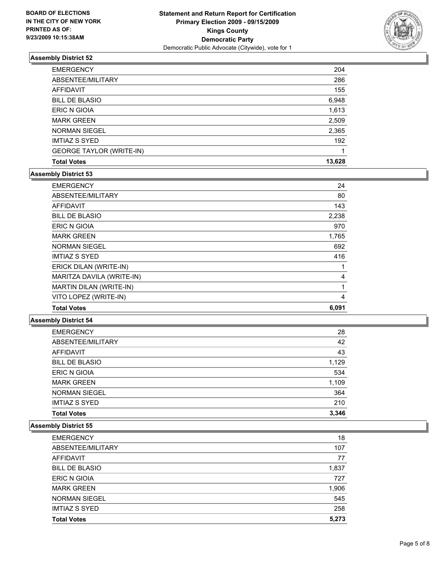

| <b>Total Votes</b>              | 13,628 |
|---------------------------------|--------|
| <b>GEORGE TAYLOR (WRITE-IN)</b> |        |
| <b>IMTIAZ S SYED</b>            | 192    |
| <b>NORMAN SIEGEL</b>            | 2,365  |
| <b>MARK GREEN</b>               | 2,509  |
| <b>ERIC N GIOIA</b>             | 1,613  |
| <b>BILL DE BLASIO</b>           | 6,948  |
| AFFIDAVIT                       | 155    |
| ABSENTEE/MILITARY               | 286    |
| <b>EMERGENCY</b>                | 204    |

# **Assembly District 53**

| <b>Total Votes</b>        | 6,091 |
|---------------------------|-------|
| VITO LOPEZ (WRITE-IN)     | 4     |
| MARTIN DILAN (WRITE-IN)   | 1     |
| MARITZA DAVILA (WRITE-IN) | 4     |
| ERICK DILAN (WRITE-IN)    | 1     |
| <b>IMTIAZ S SYED</b>      | 416   |
| <b>NORMAN SIEGEL</b>      | 692   |
| <b>MARK GREEN</b>         | 1,765 |
| <b>ERIC N GIOIA</b>       | 970   |
| <b>BILL DE BLASIO</b>     | 2,238 |
| <b>AFFIDAVIT</b>          | 143   |
| ABSENTEE/MILITARY         | 80    |
| <b>EMERGENCY</b>          | 24    |

# **Assembly District 54**

| <b>EMERGENCY</b>      | 28    |
|-----------------------|-------|
| ABSENTEE/MILITARY     | 42    |
| <b>AFFIDAVIT</b>      | 43    |
| <b>BILL DE BLASIO</b> | 1,129 |
| ERIC N GIOIA          | 534   |
| <b>MARK GREEN</b>     | 1,109 |
| <b>NORMAN SIEGEL</b>  | 364   |
| <b>IMTIAZ S SYED</b>  | 210   |
| <b>Total Votes</b>    | 3,346 |

| <b>EMERGENCY</b>      | 18    |
|-----------------------|-------|
| ABSENTEE/MILITARY     | 107   |
| AFFIDAVIT             | 77    |
| <b>BILL DE BLASIO</b> | 1,837 |
| <b>ERIC N GIOIA</b>   | 727   |
| <b>MARK GREEN</b>     | 1,906 |
| <b>NORMAN SIEGEL</b>  | 545   |
| <b>IMTIAZ S SYED</b>  | 258   |
| <b>Total Votes</b>    | 5,273 |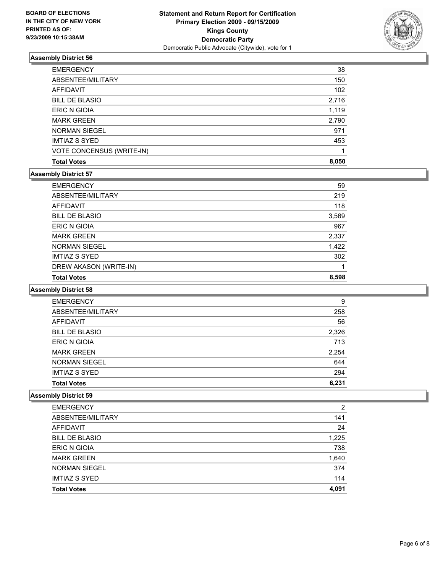

| <b>EMERGENCY</b>          | 38    |
|---------------------------|-------|
| ABSENTEE/MILITARY         | 150   |
| AFFIDAVIT                 | 102   |
| <b>BILL DE BLASIO</b>     | 2,716 |
| ERIC N GIOIA              | 1,119 |
| <b>MARK GREEN</b>         | 2,790 |
| <b>NORMAN SIEGEL</b>      | 971   |
| <b>IMTIAZ S SYED</b>      | 453   |
| VOTE CONCENSUS (WRITE-IN) |       |
| <b>Total Votes</b>        | 8,050 |

# **Assembly District 57**

| DREW AKASON (WRITE-IN)<br><b>Total Votes</b> | 8,598 |
|----------------------------------------------|-------|
| <b>IMTIAZ S SYED</b>                         | 302   |
| <b>NORMAN SIEGEL</b>                         | 1,422 |
| <b>MARK GREEN</b>                            | 2,337 |
| <b>ERIC N GIOIA</b>                          | 967   |
| <b>BILL DE BLASIO</b>                        | 3,569 |
| AFFIDAVIT                                    | 118   |
| ABSENTEE/MILITARY                            | 219   |
| <b>EMERGENCY</b>                             | 59    |

#### **Assembly District 58**

| <b>EMERGENCY</b>      | 9     |
|-----------------------|-------|
| ABSENTEE/MILITARY     | 258   |
| AFFIDAVIT             | 56    |
| <b>BILL DE BLASIO</b> | 2,326 |
| ERIC N GIOIA          | 713   |
| <b>MARK GREEN</b>     | 2,254 |
| <b>NORMAN SIEGEL</b>  | 644   |
| <b>IMTIAZ S SYED</b>  | 294   |
| <b>Total Votes</b>    | 6,231 |

| <b>Total Votes</b>    | 4,091          |
|-----------------------|----------------|
| <b>IMTIAZ S SYED</b>  | 114            |
| <b>NORMAN SIEGEL</b>  | 374            |
| <b>MARK GREEN</b>     | 1,640          |
| ERIC N GIOIA          | 738            |
| <b>BILL DE BLASIO</b> | 1,225          |
| <b>AFFIDAVIT</b>      | 24             |
| ABSENTEE/MILITARY     | 141            |
| <b>EMERGENCY</b>      | $\overline{2}$ |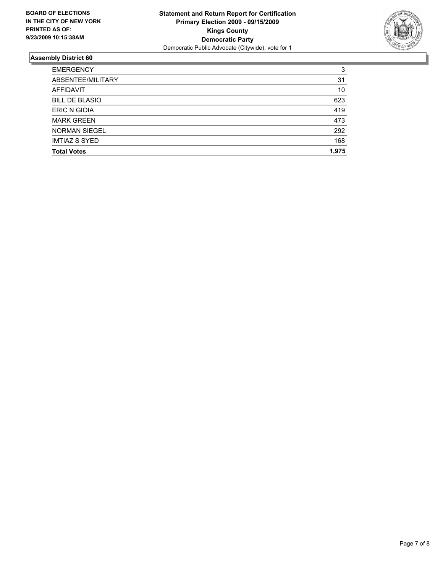

| <b>EMERGENCY</b>      | 3     |
|-----------------------|-------|
| ABSENTEE/MILITARY     | 31    |
| <b>AFFIDAVIT</b>      | 10    |
| <b>BILL DE BLASIO</b> | 623   |
| <b>ERIC N GIOIA</b>   | 419   |
| <b>MARK GREEN</b>     | 473   |
| <b>NORMAN SIEGEL</b>  | 292   |
| <b>IMTIAZ S SYED</b>  | 168   |
| <b>Total Votes</b>    | 1.975 |